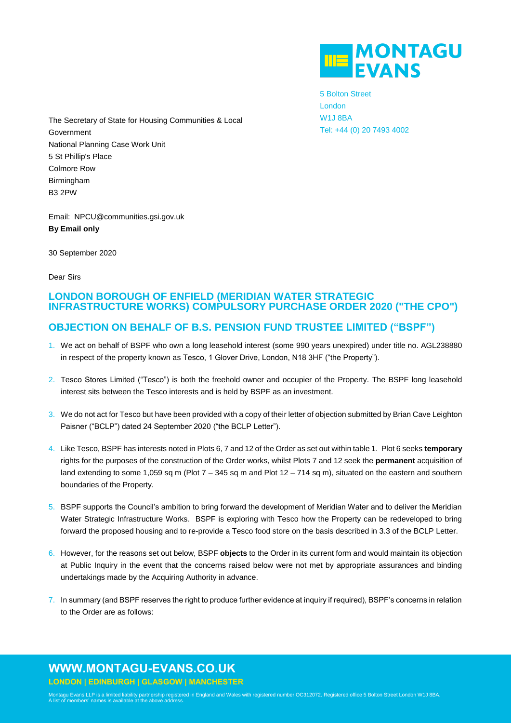

5 Bolton Street London W1J 8BA Tel: +44 (0) 20 7493 4002

The Secretary of State for Housing Communities & Local Government National Planning Case Work Unit 5 St Phillip's Place Colmore Row Birmingham B3 2PW

Email: NPCU@communities.gsi.gov.uk **By Email only**

30 September 2020

Dear Sirs

## **LONDON BOROUGH OF ENFIELD (MERIDIAN WATER STRATEGIC INFRASTRUCTURE WORKS) COMPULSORY PURCHASE ORDER 2020 ("THE CPO")**

## **OBJECTION ON BEHALF OF B.S. PENSION FUND TRUSTEE LIMITED ("BSPF")**

- 1. We act on behalf of BSPF who own a long leasehold interest (some 990 years unexpired) under title no. AGL238880 in respect of the property known as Tesco, 1 Glover Drive, London, N18 3HF ("the Property").
- 2. Tesco Stores Limited ("Tesco") is both the freehold owner and occupier of the Property. The BSPF long leasehold interest sits between the Tesco interests and is held by BSPF as an investment.
- 3. We do not act for Tesco but have been provided with a copy of their letter of objection submitted by Brian Cave Leighton Paisner ("BCLP") dated 24 September 2020 ("the BCLP Letter").
- 4. Like Tesco, BSPF has interests noted in Plots 6, 7 and 12 of the Order as set out within table 1. Plot 6 seeks **temporary** rights for the purposes of the construction of the Order works, whilst Plots 7 and 12 seek the **permanent** acquisition of land extending to some 1,059 sq m (Plot 7 – 345 sq m and Plot 12 – 714 sq m), situated on the eastern and southern boundaries of the Property.
- 5. BSPF supports the Council's ambition to bring forward the development of Meridian Water and to deliver the Meridian Water Strategic Infrastructure Works. BSPF is exploring with Tesco how the Property can be redeveloped to bring forward the proposed housing and to re-provide a Tesco food store on the basis described in 3.3 of the BCLP Letter.
- 6. However, for the reasons set out below, BSPF **objects** to the Order in its current form and would maintain its objection at Public Inquiry in the event that the concerns raised below were not met by appropriate assurances and binding undertakings made by the Acquiring Authority in advance.
- 7. In summary (and BSPF reserves the right to produce further evidence at inquiry if required), BSPF's concerns in relation to the Order are as follows:

# **WWW.MONTAGU-EVANS.CO.UK**

**LONDON | EDINBURGH | GLASGOW | MANCHESTER**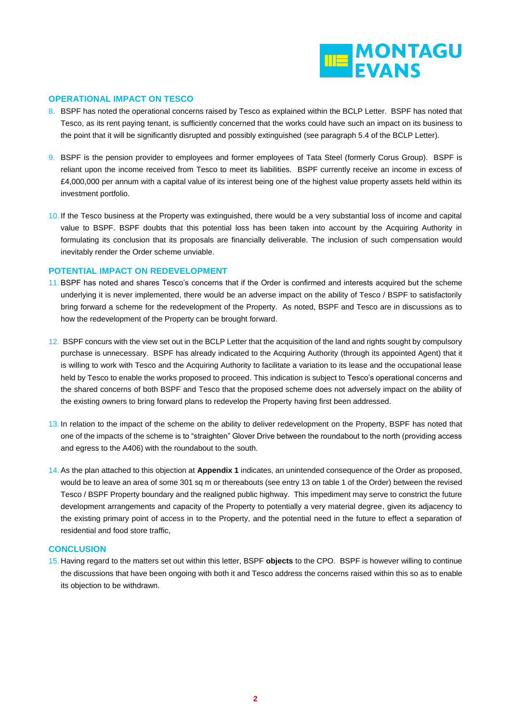

### **OPERATIONAL IMPACT ON TESCO**

- 8. BSPF has noted the operational concerns raised by Tesco as explained within the BCLP Letter. BSPF has noted that Tesco, as its rent paying tenant, is sufficiently concerned that the works could have such an impact on its business to the point that it will be significantly disrupted and possibly extinguished (see paragraph 5.4 of the BCLP Letter).
- 9. BSPF is the pension provider to employees and former employees of Tata Steel (formerly Corus Group). BSPF is reliant upon the income received from Tesco to meet its liabilities. BSPF currently receive an income in excess of £4,000,000 per annum with a capital value of its interest being one of the highest value property assets held within its investment portfolio.
- 10. If the Tesco business at the Property was extinguished, there would be a very substantial loss of income and capital value to BSPF. BSPF doubts that this potential loss has been taken into account by the Acquiring Authority in formulating its conclusion that its proposals are financially deliverable. The inclusion of such compensation would inevitably render the Order scheme unviable.

#### **POTENTIAL IMPACT ON REDEVELOPMENT**

- 11. BSPF has noted and shares Tesco's concerns that if the Order is confirmed and interests acquired but the scheme underlying it is never implemented, there would be an adverse impact on the ability of Tesco / BSPF to satisfactorily bring forward a scheme for the redevelopment of the Property. As noted, BSPF and Tesco are in discussions as to how the redevelopment of the Property can be brought forward.
- 12. BSPF concurs with the view set out in the BCLP Letter that the acquisition of the land and rights sought by compulsory purchase is unnecessary. BSPF has already indicated to the Acquiring Authority (through its appointed Agent) that it is willing to work with Tesco and the Acquiring Authority to facilitate a variation to its lease and the occupational lease held by Tesco to enable the works proposed to proceed. This indication is subject to Tesco's operational concerns and the shared concerns of both BSPF and Tesco that the proposed scheme does not adversely impact on the ability of the existing owners to bring forward plans to redevelop the Property having first been addressed.
- 13. In relation to the impact of the scheme on the ability to deliver redevelopment on the Property, BSPF has noted that one of the impacts of the scheme is to "straighten" Glover Drive between the roundabout to the north (providing access and egress to the A406) with the roundabout to the south.
- 14. As the plan attached to this objection at **Appendix 1** indicates, an unintended consequence of the Order as proposed, would be to leave an area of some 301 sq m or thereabouts (see entry 13 on table 1 of the Order) between the revised Tesco / BSPF Property boundary and the realigned public highway. This impediment may serve to constrict the future development arrangements and capacity of the Property to potentially a very material degree, given its adjacency to the existing primary point of access in to the Property, and the potential need in the future to effect a separation of residential and food store traffic,

#### **CONCLUSION**

15. Having regard to the matters set out within this letter, BSPF **objects** to the CPO. BSPF is however willing to continue the discussions that have been ongoing with both it and Tesco address the concerns raised within this so as to enable its objection to be withdrawn.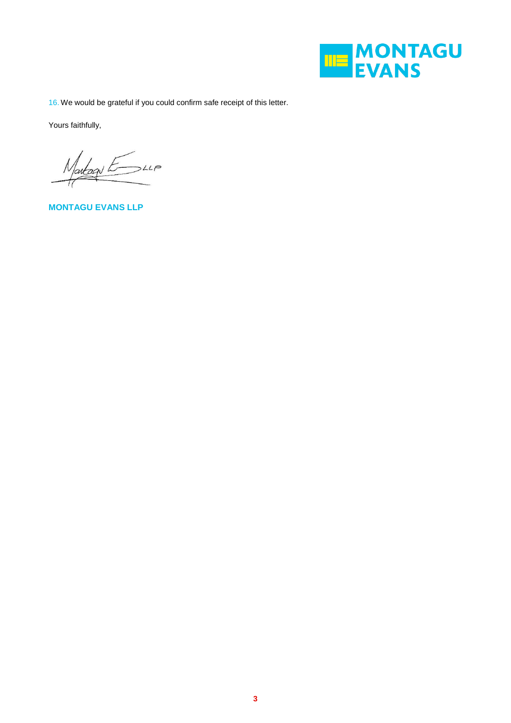

16. We would be grateful if you could confirm safe receipt of this letter.

Yours faithfully,

Martage Es LLP

**MONTAGU EVANS LLP**